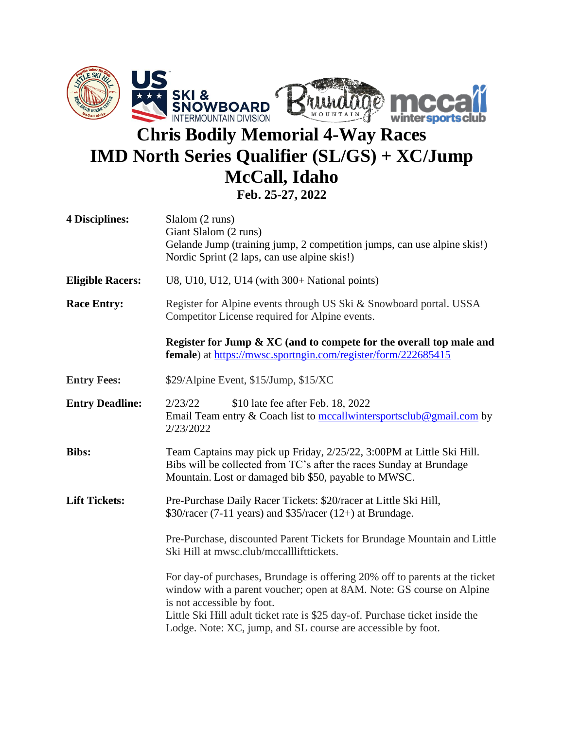

## **Chris Bodily Memorial 4-Way Races IMD North Series Qualifier (SL/GS) + XC/Jump McCall, Idaho Feb. 25-27, 2022**

| <b>4 Disciplines:</b>   | Slalom (2 runs)<br>Giant Slalom (2 runs)<br>Gelande Jump (training jump, 2 competition jumps, can use alpine skis!)<br>Nordic Sprint (2 laps, can use alpine skis!)                                                                                                                                                               |
|-------------------------|-----------------------------------------------------------------------------------------------------------------------------------------------------------------------------------------------------------------------------------------------------------------------------------------------------------------------------------|
| <b>Eligible Racers:</b> | U8, U10, U12, U14 (with 300+ National points)                                                                                                                                                                                                                                                                                     |
| <b>Race Entry:</b>      | Register for Alpine events through US Ski & Snowboard portal. USSA<br>Competitor License required for Alpine events.                                                                                                                                                                                                              |
|                         | Register for Jump & XC (and to compete for the overall top male and<br>female) at https://mwsc.sportngin.com/register/form/222685415                                                                                                                                                                                              |
| <b>Entry Fees:</b>      | \$29/Alpine Event, \$15/Jump, \$15/XC                                                                                                                                                                                                                                                                                             |
| <b>Entry Deadline:</b>  | 2/23/22<br>\$10 late fee after Feb. 18, 2022<br>Email Team entry & Coach list to mccallwintersportsclub@gmail.com by<br>2/23/2022                                                                                                                                                                                                 |
| <b>Bibs:</b>            | Team Captains may pick up Friday, 2/25/22, 3:00PM at Little Ski Hill.<br>Bibs will be collected from TC's after the races Sunday at Brundage<br>Mountain. Lost or damaged bib \$50, payable to MWSC.                                                                                                                              |
| <b>Lift Tickets:</b>    | Pre-Purchase Daily Racer Tickets: \$20/racer at Little Ski Hill,<br>$$30/racer$ (7-11 years) and $$35/racer$ (12+) at Brundage.                                                                                                                                                                                                   |
|                         | Pre-Purchase, discounted Parent Tickets for Brundage Mountain and Little<br>Ski Hill at mwsc.club/mccalllifttickets.                                                                                                                                                                                                              |
|                         | For day-of purchases, Brundage is offering 20% off to parents at the ticket<br>window with a parent voucher; open at 8AM. Note: GS course on Alpine<br>is not accessible by foot.<br>Little Ski Hill adult ticket rate is \$25 day-of. Purchase ticket inside the<br>Lodge. Note: XC, jump, and SL course are accessible by foot. |